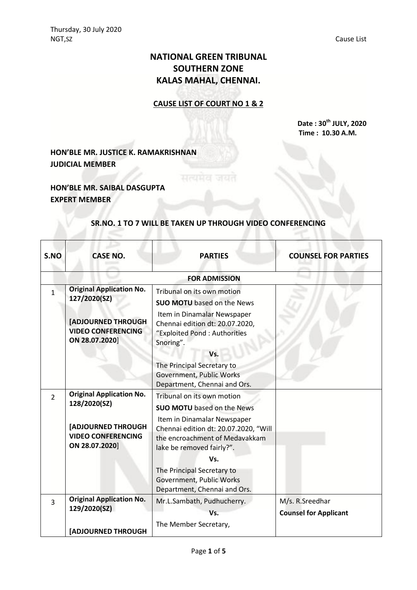# **NATIONAL GREEN TRIBUNAL SOUTHERN ZONE KALAS MAHAL, CHENNAI.**

### **CAUSE LIST OF COURT NO 1 & 2**

**Date : 30th JULY, 2020 Time : 10.30 A.M.**

# **HON'BLE MR. JUSTICE K. RAMAKRISHNAN JUDICIAL MEMBER**

## **HON'BLE MR. SAIBAL DASGUPTA EXPERT MEMBER**

#### **SR.NO. 1 TO 7 WILL BE TAKEN UP THROUGH VIDEO CONFERENCING**

| S.NO           | <b>CASE NO.</b>                                                          | <b>PARTIES</b>                                                                                                                      | <b>COUNSEL FOR PARTIES</b>                      |
|----------------|--------------------------------------------------------------------------|-------------------------------------------------------------------------------------------------------------------------------------|-------------------------------------------------|
|                |                                                                          | <b>FOR ADMISSION</b>                                                                                                                |                                                 |
| $\mathbf{1}$   | <b>Original Application No.</b><br>127/2020(SZ)                          | Tribunal on its own motion<br><b>SUO MOTU</b> based on the News<br>Item in Dinamalar Newspaper                                      |                                                 |
|                | [ADJOURNED THROUGH<br><b>VIDEO CONFERENCING</b><br>ON 28.07.2020]        | Chennai edition dt: 20.07.2020,<br>"Exploited Pond: Authorities<br>Snoring".                                                        |                                                 |
|                |                                                                          | Vs.<br>The Principal Secretary to<br>Government, Public Works<br>Department, Chennai and Ors.                                       |                                                 |
| $\overline{2}$ | <b>Original Application No.</b><br>128/2020(SZ)                          | Tribunal on its own motion<br><b>SUO MOTU</b> based on the News                                                                     |                                                 |
|                | <b>[ADJOURNED THROUGH</b><br><b>VIDEO CONFERENCING</b><br>ON 28.07.2020] | Item in Dinamalar Newspaper<br>Chennai edition dt: 20.07.2020, "Will<br>the encroachment of Medavakkam<br>lake be removed fairly?". |                                                 |
|                |                                                                          | Vs.<br>The Principal Secretary to<br>Government, Public Works<br>Department, Chennai and Ors.                                       |                                                 |
| 3              | <b>Original Application No.</b><br>129/2020(SZ)                          | Mr.L.Sambath, Pudhucherry.<br>Vs.                                                                                                   | M/s. R.Sreedhar<br><b>Counsel for Applicant</b> |
|                | <b>[ADJOURNED THROUGH</b>                                                | The Member Secretary,                                                                                                               |                                                 |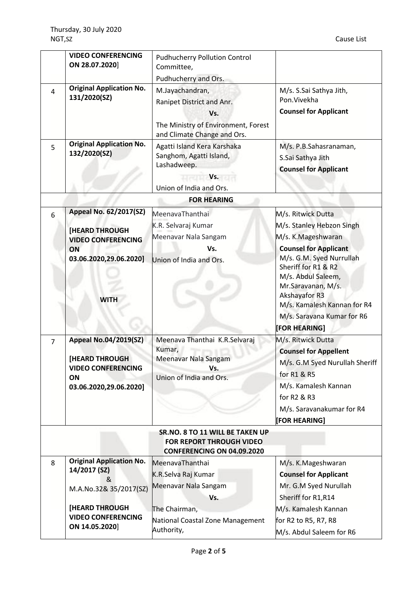|                     | <b>VIDEO CONFERENCING</b><br>ON 28.07.2020]                                                                                                                                                                                                       | <b>Pudhucherry Pollution Control</b><br>Committee,                                                                                                                                                    |                                                                                                                                                                                                                                                                                                                                                                                                                                                                                |
|---------------------|---------------------------------------------------------------------------------------------------------------------------------------------------------------------------------------------------------------------------------------------------|-------------------------------------------------------------------------------------------------------------------------------------------------------------------------------------------------------|--------------------------------------------------------------------------------------------------------------------------------------------------------------------------------------------------------------------------------------------------------------------------------------------------------------------------------------------------------------------------------------------------------------------------------------------------------------------------------|
|                     |                                                                                                                                                                                                                                                   | Pudhucherry and Ors.                                                                                                                                                                                  |                                                                                                                                                                                                                                                                                                                                                                                                                                                                                |
| 4                   | <b>Original Application No.</b><br>131/2020(SZ)                                                                                                                                                                                                   | M.Jayachandran,<br>Ranipet District and Anr.<br>Vs.<br>The Ministry of Environment, Forest<br>and Climate Change and Ors.                                                                             | M/s. S.Sai Sathya Jith,<br>Pon.Vivekha<br><b>Counsel for Applicant</b>                                                                                                                                                                                                                                                                                                                                                                                                         |
| 5                   | <b>Original Application No.</b><br>132/2020(SZ)                                                                                                                                                                                                   | Agatti Island Kera Karshaka<br>Sanghom, Agatti Island,<br>Lashadweep.<br><b>Vs.</b><br>Union of India and Ors.                                                                                        | M/s. P.B.Sahasranaman,<br>S.Sai Sathya Jith<br><b>Counsel for Applicant</b>                                                                                                                                                                                                                                                                                                                                                                                                    |
|                     |                                                                                                                                                                                                                                                   | <b>FOR HEARING</b>                                                                                                                                                                                    |                                                                                                                                                                                                                                                                                                                                                                                                                                                                                |
| 6<br>$\overline{7}$ | Appeal No. 62/2017(SZ)<br><b>[HEARD THROUGH</b><br><b>VIDEO CONFERENCING</b><br>ON<br>03.06.2020,29.06.2020]<br><b>WITH</b><br><b>Appeal No.04/2019(SZ)</b><br><b>[HEARD THROUGH</b><br><b>VIDEO CONFERENCING</b><br>ON<br>03.06.2020,29.06.2020] | MeenavaThanthai<br>K.R. Selvaraj Kumar<br>Meenavar Nala Sangam<br>Vs.<br>Union of India and Ors.<br>Meenava Thanthai K.R.Selvaraj<br>Kumar,<br>Meenavar Nala Sangam<br>Vs.<br>Union of India and Ors. | M/s. Ritwick Dutta<br>M/s. Stanley Hebzon Singh<br>M/s. K.Mageshwaran<br><b>Counsel for Applicant</b><br>M/s. G.M. Syed Nurrullah<br>Sheriff for R1 & R2<br>M/s. Abdul Saleem,<br>Mr.Saravanan, M/s.<br>Akshayafor R3<br>M/s. Kamalesh Kannan for R4<br>M/s. Saravana Kumar for R6<br>[FOR HEARING]<br>M/s. Ritwick Dutta<br><b>Counsel for Appellent</b><br>M/s. G.M Syed Nurullah Sheriff<br>for R1 & R5<br>M/s. Kamalesh Kannan<br>for R2 & R3<br>M/s. Saravanakumar for R4 |
|                     |                                                                                                                                                                                                                                                   |                                                                                                                                                                                                       | <b>[FOR HEARING]</b>                                                                                                                                                                                                                                                                                                                                                                                                                                                           |
|                     |                                                                                                                                                                                                                                                   | SR.NO. 8 TO 11 WILL BE TAKEN UP<br><b>FOR REPORT THROUGH VIDEO</b><br>CONFERENCING ON 04.09.2020                                                                                                      |                                                                                                                                                                                                                                                                                                                                                                                                                                                                                |
| 8                   | <b>Original Application No.</b><br>14/2017 (SZ)<br>&<br>M.A.No.32& 35/2017(SZ)                                                                                                                                                                    | MeenavaThanthai<br>K.R.Selva Raj Kumar<br>Meenavar Nala Sangam<br>Vs.                                                                                                                                 | M/s. K.Mageshwaran<br><b>Counsel for Applicant</b><br>Mr. G.M Syed Nurullah<br>Sheriff for R1,R14                                                                                                                                                                                                                                                                                                                                                                              |
|                     | <b>[HEARD THROUGH</b><br><b>VIDEO CONFERENCING</b><br>ON 14.05.2020]                                                                                                                                                                              | The Chairman,<br>National Coastal Zone Management<br>Authority,                                                                                                                                       | M/s. Kamalesh Kannan<br>for R2 to R5, R7, R8<br>M/s. Abdul Saleem for R6                                                                                                                                                                                                                                                                                                                                                                                                       |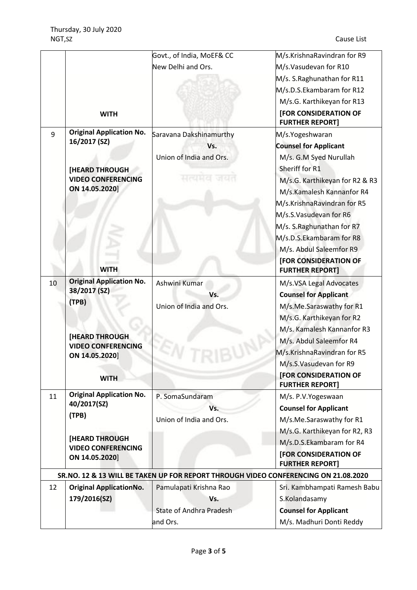|    |                                                    | Govt., of India, MoEF& CC      | M/s.KrishnaRavindran for R9                                                         |
|----|----------------------------------------------------|--------------------------------|-------------------------------------------------------------------------------------|
|    |                                                    | New Delhi and Ors.             | M/s.Vasudevan for R10                                                               |
|    |                                                    |                                | M/s. S.Raghunathan for R11                                                          |
|    |                                                    |                                | M/s.D.S.Ekambaram for R12                                                           |
|    |                                                    |                                | M/s.G. Karthikeyan for R13                                                          |
|    | <b>WITH</b>                                        |                                | <b>[FOR CONSIDERATION OF</b><br><b>FURTHER REPORT]</b>                              |
| 9  | <b>Original Application No.</b>                    | Saravana Dakshinamurthy        | M/s.Yogeshwaran                                                                     |
|    | 16/2017 (SZ)                                       | Vs.                            | <b>Counsel for Applicant</b>                                                        |
|    |                                                    | Union of India and Ors.        | M/s. G.M Syed Nurullah                                                              |
|    | <b>[HEARD THROUGH</b>                              |                                | Sheriff for R1                                                                      |
|    | <b>VIDEO CONFERENCING</b>                          | मल्यमत                         | M/s.G. Karthikeyan for R2 & R3                                                      |
|    | ON 14.05.2020]                                     |                                | M/s.Kamalesh Kannanfor R4                                                           |
|    |                                                    |                                | M/s.KrishnaRavindran for R5                                                         |
|    |                                                    |                                | M/s.S.Vasudevan for R6                                                              |
|    |                                                    |                                | M/s. S.Raghunathan for R7                                                           |
|    |                                                    |                                | M/s.D.S.Ekambaram for R8                                                            |
|    |                                                    |                                | M/s. Abdul Saleemfor R9                                                             |
|    |                                                    |                                | [FOR CONSIDERATION OF                                                               |
|    | <b>WITH</b>                                        |                                | <b>FURTHER REPORT]</b>                                                              |
| 10 | <b>Original Application No.</b>                    | Ashwini Kumar                  | M/s.VSA Legal Advocates                                                             |
|    | 38/2017 (SZ)                                       | Vs.                            | <b>Counsel for Applicant</b>                                                        |
|    | (TPB)                                              | Union of India and Ors.        | M/s.Me.Saraswathy for R1                                                            |
|    |                                                    |                                | M/s.G. Karthikeyan for R2                                                           |
|    |                                                    |                                | M/s. Kamalesh Kannanfor R3                                                          |
|    | <b>[HEARD THROUGH</b><br><b>VIDEO CONFERENCING</b> |                                | M/s. Abdul Saleemfor R4                                                             |
|    | ON 14.05.2020]                                     |                                | M/s.KrishnaRavindran for R5                                                         |
|    |                                                    |                                | M/s.S.Vasudevan for R9                                                              |
|    | <b>WITH</b>                                        |                                | <b>[FOR CONSIDERATION OF</b><br><b>FURTHER REPORT]</b>                              |
| 11 | <b>Original Application No.</b>                    | P. SomaSundaram                | M/s. P.V. Yogeswaan                                                                 |
|    | 40/2017(SZ)                                        | Vs.                            | <b>Counsel for Applicant</b>                                                        |
|    | (TPB)                                              | Union of India and Ors.        | M/s.Me.Saraswathy for R1                                                            |
|    |                                                    |                                | M/s.G. Karthikeyan for R2, R3                                                       |
|    | <b>[HEARD THROUGH</b>                              |                                | M/s.D.S.Ekambaram for R4                                                            |
|    | <b>VIDEO CONFERENCING</b><br>ON 14.05.2020]        |                                | <b>[FOR CONSIDERATION OF</b><br><b>FURTHER REPORT]</b>                              |
|    |                                                    |                                | SR.NO. 12 & 13 WILL BE TAKEN UP FOR REPORT THROUGH VIDEO CONFERENCING ON 21.08.2020 |
| 12 | <b>Original ApplicationNo.</b>                     | Pamulapati Krishna Rao         | Sri. Kambhampati Ramesh Babu                                                        |
|    | 179/2016(SZ)                                       | Vs.                            | S.Kolandasamy                                                                       |
|    |                                                    | <b>State of Andhra Pradesh</b> | <b>Counsel for Applicant</b>                                                        |
|    |                                                    | and Ors.                       | M/s. Madhuri Donti Reddy                                                            |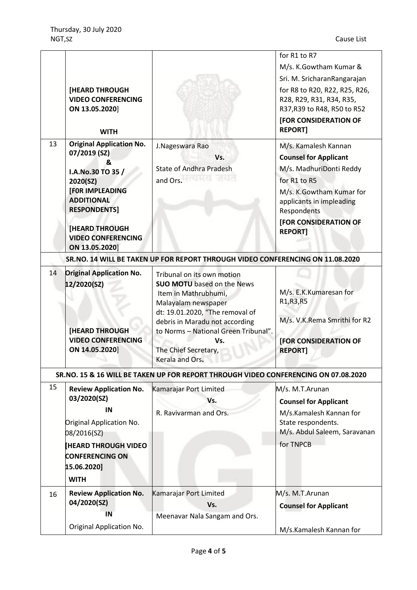|    | [HEARD THROUGH<br><b>VIDEO CONFERENCING</b><br>ON 13.05.2020]<br><b>WITH</b>                                                                                                                                                        |                                                                                                                                                                                                                                                                               | for R1 to R7<br>M/s. K.Gowtham Kumar &<br>Sri. M. SricharanRangarajan<br>for R8 to R20, R22, R25, R26,<br>R28, R29, R31, R34, R35,<br>R37, R39 to R48, R50 to R52<br><b>[FOR CONSIDERATION OF</b><br><b>REPORT]</b>      |
|----|-------------------------------------------------------------------------------------------------------------------------------------------------------------------------------------------------------------------------------------|-------------------------------------------------------------------------------------------------------------------------------------------------------------------------------------------------------------------------------------------------------------------------------|--------------------------------------------------------------------------------------------------------------------------------------------------------------------------------------------------------------------------|
| 13 | <b>Original Application No.</b><br>07/2019 (SZ)<br>&<br>I.A.No.30 TO 35 /<br>2020(SZ)<br><b>[FOR IMPLEADING</b><br><b>ADDITIONAL</b><br><b>RESPONDENTS]</b><br><b>[HEARD THROUGH</b><br><b>VIDEO CONFERENCING</b><br>ON 13.05.2020] | J.Nageswara Rao<br>Vs.<br><b>State of Andhra Pradesh</b><br>and Ors.                                                                                                                                                                                                          | M/s. Kamalesh Kannan<br><b>Counsel for Applicant</b><br>M/s. MadhuriDonti Reddy<br>for R1 to R5<br>M/s. K.Gowtham Kumar for<br>applicants in impleading<br>Respondents<br><b>[FOR CONSIDERATION OF</b><br><b>REPORT]</b> |
|    |                                                                                                                                                                                                                                     | SR.NO. 14 WILL BE TAKEN UP FOR REPORT THROUGH VIDEO CONFERENCING ON 11.08.2020                                                                                                                                                                                                |                                                                                                                                                                                                                          |
| 14 | <b>Original Application No.</b><br>12/2020(SZ)<br><b>[HEARD THROUGH</b><br><b>VIDEO CONFERENCING</b><br>ON 14.05.2020]                                                                                                              | Tribunal on its own motion<br><b>SUO MOTU</b> based on the News<br>Item in Mathrubhumi,<br>Malayalam newspaper<br>dt: 19.01.2020, "The removal of<br>debris in Maradu not according<br>to Norms - National Green Tribunal".<br>Vs.<br>The Chief Secretary,<br>Kerala and Ors. | M/s. E.K.Kumaresan for<br>R1, R3, R5<br>M/s. V.K.Rema Smrithi for R2<br><b>[FOR CONSIDERATION OF</b><br><b>REPORT]</b>                                                                                                   |
|    |                                                                                                                                                                                                                                     | SR.NO. 15 & 16 WILL BE TAKEN UP FOR REPORT THROUGH VIDEO CONFERENCING ON 07.08.2020                                                                                                                                                                                           |                                                                                                                                                                                                                          |
| 15 | <b>Review Application No.</b><br>03/2020(SZ)<br>IN<br>Original Application No.<br>08/2016(SZ)<br><b>HEARD THROUGH VIDEO</b><br><b>CONFERENCING ON</b><br>15.06.2020]                                                                | Kamarajar Port Limited<br>Vs.<br>R. Ravivarman and Ors.                                                                                                                                                                                                                       | M/s. M.T.Arunan<br><b>Counsel for Applicant</b><br>M/s.Kamalesh Kannan for<br>State respondents.<br>M/s. Abdul Saleem, Saravanan<br>for TNPCB                                                                            |
|    | <b>WITH</b>                                                                                                                                                                                                                         |                                                                                                                                                                                                                                                                               |                                                                                                                                                                                                                          |
| 16 | <b>Review Application No.</b><br>04/2020(SZ)<br>IN                                                                                                                                                                                  | Kamarajar Port Limited<br>Vs.                                                                                                                                                                                                                                                 | M/s. M.T.Arunan<br><b>Counsel for Applicant</b>                                                                                                                                                                          |
|    | Original Application No.                                                                                                                                                                                                            | Meenavar Nala Sangam and Ors.                                                                                                                                                                                                                                                 |                                                                                                                                                                                                                          |
|    |                                                                                                                                                                                                                                     |                                                                                                                                                                                                                                                                               | M/s.Kamalesh Kannan for                                                                                                                                                                                                  |